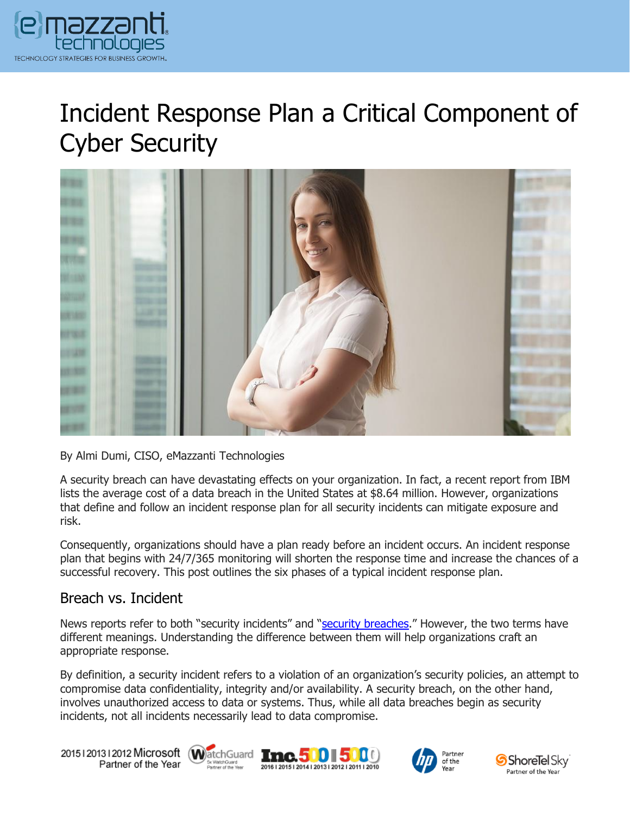

# Incident Response Plan a Critical Component of Cyber Security



By Almi Dumi, CISO, eMazzanti Technologies

A security breach can have devastating effects on your organization. In fact, a recent report from IBM lists the average cost of a data breach in the United States at \$8.64 million. However, organizations that define and follow an incident response plan for all security incidents can mitigate exposure and risk.

Consequently, organizations should have a plan ready before an incident occurs. An incident response plan that begins with 24/7/365 monitoring will shorten the response time and increase the chances of a successful recovery. This post outlines the six phases of a typical incident response plan.

#### Breach vs. Incident

News reports refer to both "security incidents" and "[security breaches](https://www.emazzanti.net/what-not-to-do-after-a-data-breach/)." However, the two terms have different meanings. Understanding the difference between them will help organizations craft an appropriate response.

By definition, a security incident refers to a violation of an organization's security policies, an attempt to compromise data confidentiality, integrity and/or availability. A security breach, on the other hand, involves unauthorized access to data or systems. Thus, while all data breaches begin as security incidents, not all incidents necessarily lead to data compromise.

20151201312012 Microsoft WatchGuard Tnc. 500 500 Partner of the Year







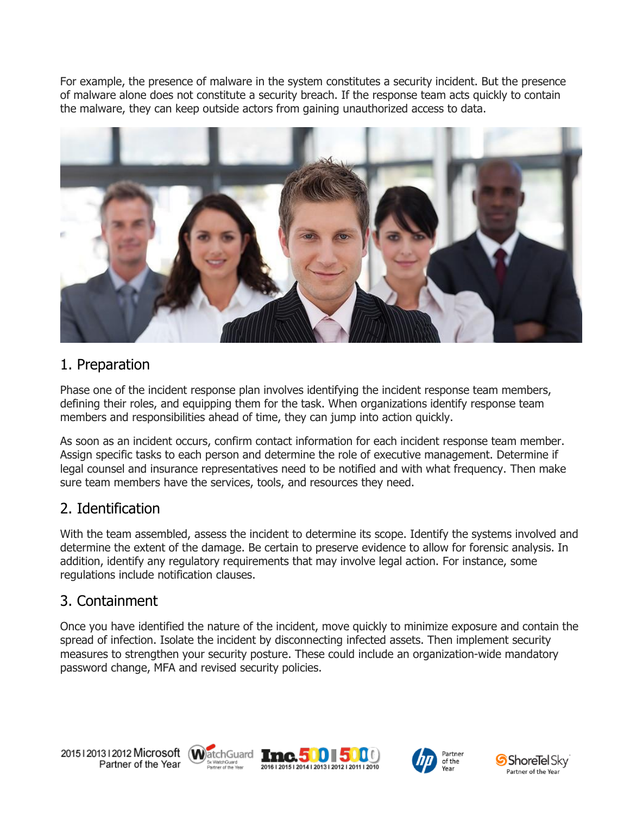For example, the presence of malware in the system constitutes a security incident. But the presence of malware alone does not constitute a security breach. If the response team acts quickly to contain the malware, they can keep outside actors from gaining unauthorized access to data.



## 1. Preparation

Phase one of the incident response plan involves identifying the incident response team members, defining their roles, and equipping them for the task. When organizations identify response team members and responsibilities ahead of time, they can jump into action quickly.

As soon as an incident occurs, confirm contact information for each incident response team member. Assign specific tasks to each person and determine the role of executive management. Determine if legal counsel and insurance representatives need to be notified and with what frequency. Then make sure team members have the services, tools, and resources they need.

## 2. Identification

With the team assembled, assess the incident to determine its scope. Identify the systems involved and determine the extent of the damage. Be certain to preserve evidence to allow for forensic analysis. In addition, identify any regulatory requirements that may involve legal action. For instance, some regulations include notification clauses.

## 3. Containment

Once you have identified the nature of the incident, move quickly to minimize exposure and contain the spread of infection. Isolate the incident by disconnecting infected assets. Then implement security measures to strengthen your security posture. These could include an organization-wide mandatory password change, MFA and revised security policies.